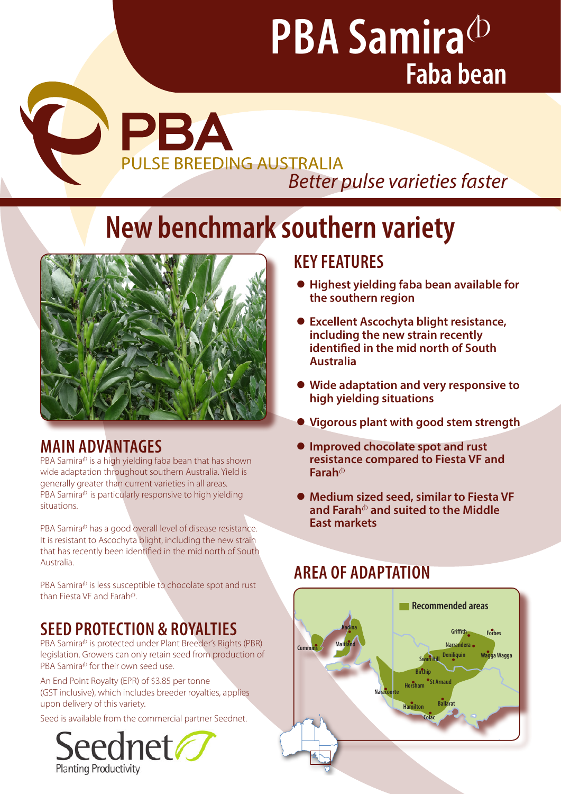# **PBA Samira**<sup> $\Phi$ </sup> **Faba bean**

COPBA **PULSE BREEDING AUSTRALIA** *Better pulse varieties faster* 

# **New benchmark southern variety**



# **MAIN ADVANTAGES**

PBA Samira<sup> $\Phi$ </sup> is a high yielding faba bean that has shown wide adaptation throughout southern Australia. Yield is generally greater than current varieties in all areas. PBA Samira $\Phi$  is particularly responsive to high yielding situations.

PBA Samira<sup>®</sup> has a good overall level of disease resistance. It is resistant to Ascochyta blight, including the new strain that has recently been identified in the mid north of South Australia.

PBA Samira<sup>®</sup> is less susceptible to chocolate spot and rust than Fiesta VF and Farah<sup>®</sup>. **Perth Northam**

# **SEED PROTECTION & ROYALTIES Esperance Katanning**

PBA Samira<sup>®</sup> is protected under Plant Breeder's Rights (PBR) legislation. Growers can only retain seed from production of PBA Samira<sup>®</sup> for their own seed use.

An End Point Royalty (EPR) of \$3.85 per tonne (GST inclusive), which includes breeder royalties, applies upon delivery of this variety.

Seed is available from the commercial partner Seednet.



## **KEY FEATURES**

- z **Highest yielding faba bean available for the southern region**
- **Excellent Ascochyta blight resistance, including the new strain recently identified in the mid north of South Australia**
- z **Wide adaptation and very responsive to high yielding situations**
- **Vigorous plant with good stem strength**
- z **Improved chocolate spot and rust resistance compared to Fiesta VF and Farah**<sup>(b)</sup>
- Medium sized seed, similar to Fiesta VF **and Farah**<sup>A</sup> **and suited to the Middle East markets**

## **AREA OF ADAPTATION**

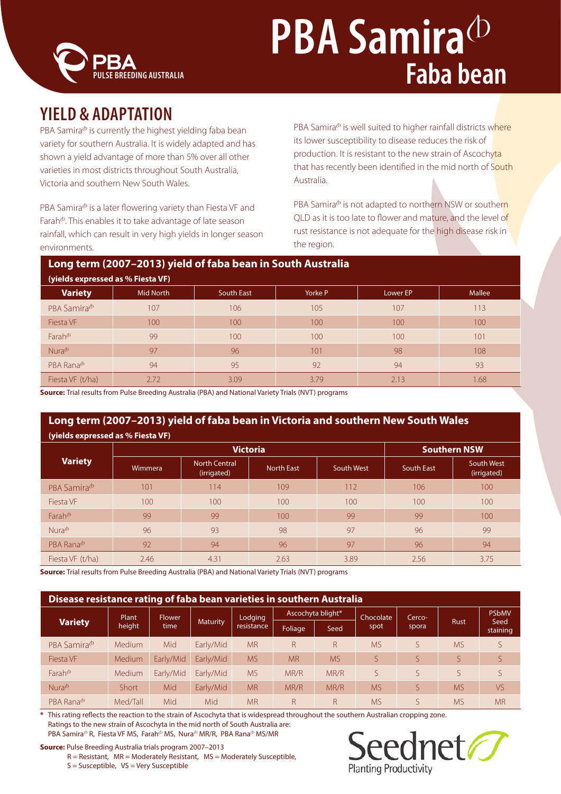

# **PBA Samira**<sup>(b)</sup> **Faba bean**

# **YIELD & ADAPTATION**

PBA Samira $\Phi$  is currently the highest yielding faba bean variety for southern Australia. It is widely adapted and has shown a yield advantage of more than 5% over all other varieties in most districts throughout South Australia, Victoria and southern New South Wales.

PBA Samira<sup>®</sup> is a later flowering variety than Fiesta VF and Farah<sup>®</sup>. This enables it to take advantage of late season rainfall, which can result in very high yields in longer season environments.

PBA Samira $\Phi$  is well suited to higher rainfall districts where its lower susceptibility to disease reduces the risk of production. It is resistant to the new strain of Ascochyta that has recently been identified in the mid north of South Australia.

PBA Samira<sup>®</sup> is not adapted to northern NSW or southern QLD as it is too late to flower and mature, and the level of rust resistance is not adequate for the high disease risk in the region.

## **Long term (2007–2013) yield of faba bean in South Australia**

| (yields expressed as % Fiesta VF) |           |                   |         |          |        |  |  |
|-----------------------------------|-----------|-------------------|---------|----------|--------|--|--|
| <b>Variety</b>                    | Mid North | <b>South East</b> | Yorke P | Lower EP | Mallee |  |  |
| PBA Samira <sup>®</sup>           | 107       | 106               | 105     | 107      | 113    |  |  |
| Fiesta VF                         | 100       | 100               | 100     | 100      | 100    |  |  |
| Farah $^{\circ}$                  | 99        | 100               | 100     | 100      | 101    |  |  |
| Nura <sup>th</sup>                | 97        | 96                | 101     | 98       | 108    |  |  |
| PBA Rana <sup>®</sup>             | 94        | 95                | 92      | 94       | 93     |  |  |
| Fiesta VF (t/ha)                  | 2.72      | 3.09              | 3.79    | 2.13     | 1.68   |  |  |

**Source:** Trial results from Pulse Breeding Australia (PBA) and National Variety Trials (NVT) programs

### **Long term (2007–2013) yield of faba bean in Victoria and southern New South Wales (yields expressed as % Fiesta VF)**

| (1)                                |         |                                     |                     |            |                   |                           |  |
|------------------------------------|---------|-------------------------------------|---------------------|------------|-------------------|---------------------------|--|
|                                    |         |                                     | <b>Southern NSW</b> |            |                   |                           |  |
| <b>Variety</b>                     | Wimmera | <b>North Central</b><br>(irrigated) | <b>North East</b>   | South West | <b>South East</b> | South West<br>(irrigated) |  |
| PBA Samira <sup>®</sup>            | 101     | 114                                 | 109                 | 112        | 106               | 100                       |  |
| Fiesta VF                          | 100     | 100                                 | 100                 | 100        | 100               | 100                       |  |
| Farah $\Phi$                       | 99      | 99                                  | 100                 | 99         | 99                | 100                       |  |
| $Nura$ <sup><math>(b)</math></sup> | 96      | 93                                  | 98                  | 97         | 96                | 99                        |  |
| PBA Rana <sup>®</sup>              | 92      | 94                                  | 96                  | 97         | 96                | 94                        |  |
| Fiesta VF (t/ha)                   | 2.46    | 4.31                                | 2.63                | 3.89       | 2.56              | 3.75                      |  |

**Source:** Trial results from Pulse Breeding Australia (PBA) and National Variety Trials (NVT) programs

| Disease resistance rating of faba bean varieties in southern Australia |                 |                       |                 |                       |                   |           |                  |        |           |                  |
|------------------------------------------------------------------------|-----------------|-----------------------|-----------------|-----------------------|-------------------|-----------|------------------|--------|-----------|------------------|
| <b>Variety</b>                                                         | Plant<br>height | <b>Flower</b><br>time | <b>Maturity</b> | Lodging<br>resistance | Ascochyta blight* |           | <b>Chocolate</b> | Cerco- |           | <b>PSbMV</b>     |
|                                                                        |                 |                       |                 |                       | Foliage           | Seed      | spot             | spora  | Rust      | Seed<br>staining |
| PBA Samira <sup>®</sup>                                                | Medium          | Mid                   | Early/Mid       | <b>MR</b>             | R                 | R         | <b>MS</b>        |        | <b>MS</b> | S                |
| Fiesta VF                                                              | Medium          | Early/Mid             | Early/Mid       | <b>MS</b>             | <b>MR</b>         | <b>MS</b> |                  |        | S         | S                |
| $Farah$ <sup><math>\Phi</math></sup>                                   | Medium          | Early/Mid             | Early/Mid       | <b>MS</b>             | MR/R              | MR/R      |                  |        |           | $\varsigma$      |
| Nura $\Phi$                                                            | <b>Short</b>    | Mid                   | Early/Mid       | <b>MR</b>             | MR/R              | MR/R      | <b>MS</b>        |        | <b>MS</b> | <b>VS</b>        |
| PBA Rana <sup>®</sup>                                                  | Med/Tall        | Mid                   | Mid             | <b>MR</b>             | R                 | R         | <b>MS</b>        |        | <b>MS</b> | <b>MR</b>        |

**\*** This rating reflects the reaction to the strain of Ascochyta that is widespread throughout the southern Australian cropping zone. Ratings to the new strain of Ascochyta in the mid north of South Australia are: PBA Samira<sup>®</sup> R, Fiesta VF MS, Farah<sup>®</sup> MS, Nura<sup>®</sup> MR/R, PBA Rana<sup>®</sup> MS/MR

**Source:** Pulse Breeding Australia trials program 2007–2013

R = Resistant, MR = Moderately Resistant, MS = Moderately Susceptible,

S = Susceptible, VS = Very Susceptible

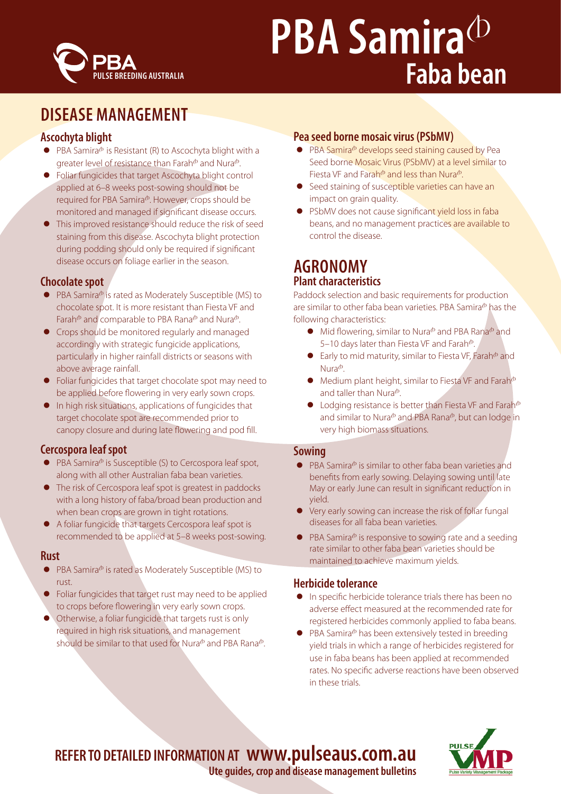

# **PBA Samira**<sup>(D)</sup> **Faba bean**

# **DISEASE MANAGEMENT**

## **Ascochyta blight**

- $\bullet$  PBA Samira<sup> $\circ$ </sup> is Resistant (R) to Ascochyta blight with a greater level of resistance than Farah $^{\circ}$  and Nura $^{\circ}$ .
- Foliar fungicides that target Ascochyta blight control applied at 6–8 weeks post-sowing should not be required for PBA Samira<sup>®</sup>. However, crops should be monitored and managed if significant disease occurs.
- This improved resistance should reduce the risk of seed staining from this disease. Ascochyta blight protection during podding should only be required if significant disease occurs on foliage earlier in the season.

### **Chocolate spot**

- $\bullet$  PBA Samira<sup> $\phi$ </sup> is rated as Moderately Susceptible (MS) to chocolate spot. It is more resistant than Fiesta VF and Farah $\Phi$  and comparable to PBA Rana $\Phi$  and Nura $\Phi$ .
- Crops should be monitored regularly and managed accordingly with strategic fungicide applications, particularly in higher rainfall districts or seasons with above average rainfall.
- Foliar fungicides that target chocolate spot may need to be applied before flowering in very early sown crops.
- $\bullet$  In high risk situations, applications of fungicides that target chocolate spot are recommended prior to canopy closure and during late flowering and pod fill.

## **Cercospora leaf spot**

- $\bullet$  PBA Samira<sup> $\circ$ </sup> is Susceptible (S) to Cercospora leaf spot, along with all other Australian faba bean varieties.
- The risk of Cercospora leaf spot is greatest in paddocks with a long history of faba/broad bean production and when bean crops are grown in tight rotations.
- A foliar fungicide that targets Cercospora leaf spot is recommended to be applied at 5–8 weeks post-sowing.

### **Rust**

- PBA Samira<sup>®</sup> is rated as Moderately Susceptible (MS) to rust.
- Foliar fungicides that target rust may need to be applied to crops before flowering in very early sown crops.
- Otherwise, a foliar fungicide that targets rust is only required in high risk situations, and management should be similar to that used for Nura $\Phi$  and PBA Rana $\Phi$ .

### **Pea seed borne mosaic virus (PSbMV)**

- PBA Samira<sup>®</sup> develops seed staining caused by Pea Seed borne Mosaic Virus (PSbMV) at a level similar to Fiesta VF and Farah $\Phi$  and less than Nura $\Phi$ .
- Seed staining of susceptible varieties can have an impact on grain quality.
- PSbMV does not cause significant yield loss in faba beans, and no management practices are available to control the disease.

## **AGRONOMY Plant characteristics**

Paddock selection and basic requirements for production are similar to other faba bean varieties. PBA Samira<sup>®</sup> has the following characteristics:

- $\bullet$  Mid flowering, similar to Nura<sup>®</sup> and PBA Rana<sup>®</sup> and 5–10 days later than Fiesta VF and Farah $\Phi$ .
- Early to mid maturity, similar to Fiesta VF, Farah $^{\circ}$  and  $Nura$ <sup> $\Phi$ </sup>.
- $\bullet$  Medium plant height, similar to Fiesta VF and Farah $\Phi$ and taller than Nura $\Phi$ .
- $\bullet$  Lodging resistance is better than Fiesta VF and Farah $\Phi$ and similar to Nura<sup>®</sup> and PBA Rana®, but can lodge in very high biomass situations.

#### **Sowing**

- $\bullet$  PBA Samira<sup> $\phi$ </sup> is similar to other faba bean varieties and benefits from early sowing. Delaying sowing until late May or early June can result in significant reduction in yield.
- $\bullet$  Very early sowing can increase the risk of foliar fungal diseases for all faba bean varieties.
- $\bullet$  PBA Samira<sup> $\Phi$ </sup> is responsive to sowing rate and a seeding rate similar to other faba bean varieties should be maintained to achieve maximum yields.

## **Herbicide tolerance**

- **•** In specific herbicide tolerance trials there has been no adverse effect measured at the recommended rate for registered herbicides commonly applied to faba beans.
- PBA Samira<sup>®</sup> has been extensively tested in breeding yield trials in which a range of herbicides registered for use in faba beans has been applied at recommended rates. No specific adverse reactions have been observed in these trials.

# **REFER TO DETAILED INFORMATION AT www.pulseaus.com.au**



**Ute guides, crop and disease management bulletins**